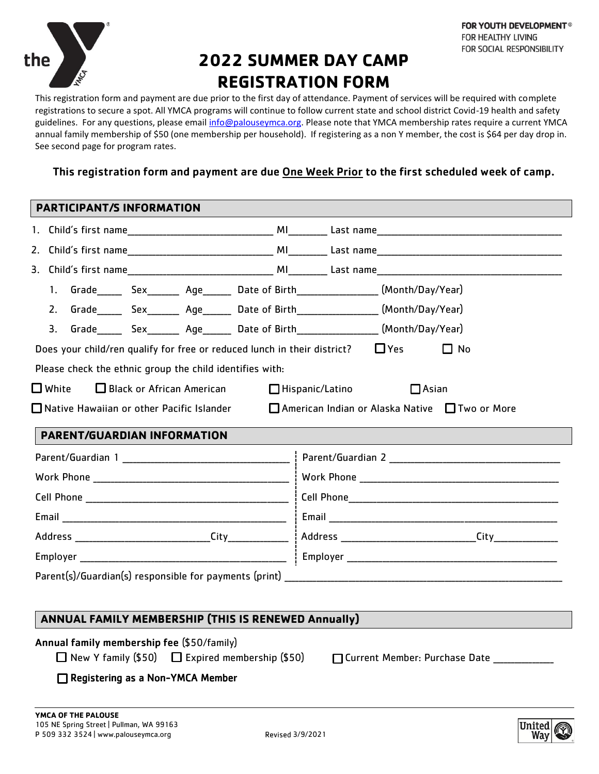

# **2022 SUMMER DAY CAMP REGISTRATION FORM**

This registration form and payment are due prior to the first day of attendance. Payment of services will be required with complete registrations to secure a spot. All YMCA programs will continue to follow current state and school district Covid-19 health and safety guidelines. For any questions, please email [info@palouseymca.org.](mailto:info@palouseymca.org) Please note that YMCA membership rates require a current YMCA annual family membership of \$50 (one membership per household). If registering as a non Y member, the cost is \$64 per day drop in. See second page for program rates.

## This registration form and payment are due One Week Prior to the first scheduled week of camp.

#### **PARTICIPANT/S INFORMATION**

|    | 1. Grade______ Sex_______ Age_______ Date of Birth_________________(Month/Day/Year)           |  |  |  |                                                                                                             |
|----|-----------------------------------------------------------------------------------------------|--|--|--|-------------------------------------------------------------------------------------------------------------|
|    | 2. Grade______ Sex_______ Age_______ Date of Birth_________________(Month/Day/Year)           |  |  |  |                                                                                                             |
| 3. |                                                                                               |  |  |  |                                                                                                             |
|    | Does your child/ren qualify for free or reduced lunch in their district? $\Box$ Yes $\Box$ No |  |  |  |                                                                                                             |
|    | Please check the ethnic group the child identifies with:                                      |  |  |  |                                                                                                             |
|    |                                                                                               |  |  |  |                                                                                                             |
|    | □ White □ Black or African American □ Hispanic/Latino □ □ Asian                               |  |  |  |                                                                                                             |
|    |                                                                                               |  |  |  | $\Box$ Native Hawaiian or other Pacific Islander $\Box$ American Indian or Alaska Native $\Box$ Two or More |
|    |                                                                                               |  |  |  |                                                                                                             |
|    | <b>PARENT/GUARDIAN INFORMATION</b>                                                            |  |  |  |                                                                                                             |
|    |                                                                                               |  |  |  |                                                                                                             |
|    |                                                                                               |  |  |  |                                                                                                             |
|    |                                                                                               |  |  |  |                                                                                                             |
|    |                                                                                               |  |  |  |                                                                                                             |
|    |                                                                                               |  |  |  |                                                                                                             |

## **ANNUAL FAMILY MEMBERSHIP (THIS IS RENEWED Annually)**

Annual family membership fee (\$50/family)

 $\Box$  New Y family (\$50)  $\Box$  Expired membership (\$50)  $\Box$  Current Member: Purchase Date

Registering as a Non-YMCA Member

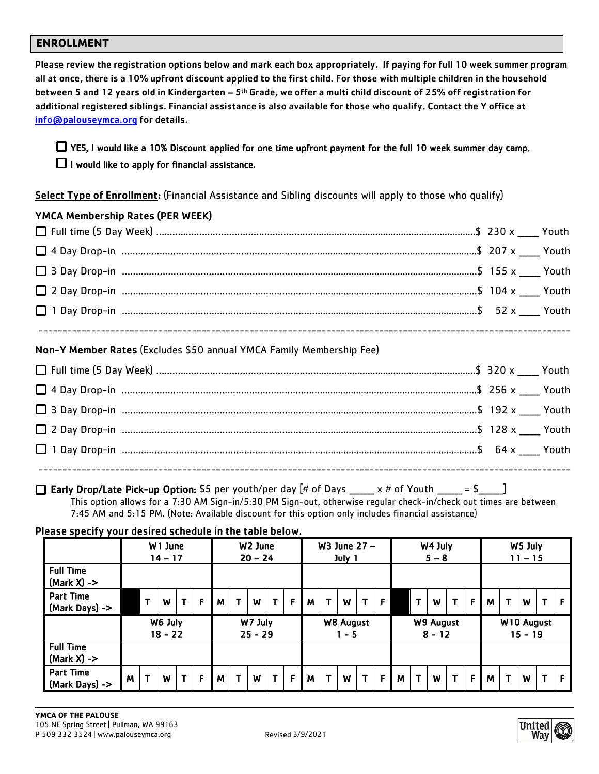#### **ENROLLMENT**

Please review the registration options below and mark each box appropriately. If paying for full 10 week summer program all at once, there is a 10% upfront discount applied to the first child. For those with multiple children in the household between 5 and 12 years old in Kindergarten – 5th Grade, we offer a multi child discount of 25% off registration for additional registered siblings. Financial assistance is also available for those who qualify. Contact the Y office at [info@palouseymca.org](mailto:info@palouseymca.org) for details.

# YES, I would like a 10% Discount applied for one time upfront payment for the full 10 week summer day camp.  $\Box$  I would like to apply for financial assistance.

Select Type of Enrollment: (Financial Assistance and Sibling discounts will apply to those who qualify)

## YMCA Membership Rates (PER WEEK)

### Non-Y Member Rates (Excludes \$50 annual YMCA Family Membership Fee)

### **Early Drop/Late Pick-up Option:** \$5 per youth/per day  $[# \text{ of Days} \qquad x # \text{ of Youth} \qquad = $ \qquad ]$

This option allows for a 7:30 AM Sign-in/5:30 PM Sign-out, otherwise regular check-in/check out times are between 7:45 AM and 5:15 PM. (Note: Available discount for this option only includes financial assistance)

Please specify your desired schedule in the table below.

|                                    |   |              | W1 June<br>$14 - 17$ |   |   |   |   | W <sub>2</sub> June<br>$20 - 24$ |   |   |   |              | W3 June 27 -<br>July 1      |              |   |   |   | W4 July<br>$5 - 8$    |             |   |   |    | W5 July<br>$11 - 15$  |   |   |
|------------------------------------|---|--------------|----------------------|---|---|---|---|----------------------------------|---|---|---|--------------|-----------------------------|--------------|---|---|---|-----------------------|-------------|---|---|----|-----------------------|---|---|
| <b>Full Time</b><br>$(Mark X)$ ->  |   |              |                      |   |   |   |   |                                  |   |   |   |              |                             |              |   |   |   |                       |             |   |   |    |                       |   |   |
| <b>Part Time</b><br>(Mark Days) -> |   | $\mathbf{T}$ | W                    | T | F | M | т | W                                | T | F | M | $\mathbf{T}$ | W                           |              | F |   | т | W                     | $\mathbf T$ | F | M | T. | W                     | T | F |
|                                    |   |              | W6 July<br>$18 - 22$ |   |   |   |   | W7 July<br>$25 - 29$             |   |   |   |              | <b>W8 August</b><br>$1 - 5$ |              |   |   |   | W9 August<br>$8 - 12$ |             |   |   |    | W10 August<br>15 - 19 |   |   |
| <b>Full Time</b><br>$(Mark X)$ ->  |   |              |                      |   |   |   |   |                                  |   |   |   |              |                             |              |   |   |   |                       |             |   |   |    |                       |   |   |
| <b>Part Time</b><br>(Mark Days) -> | M | T            | W                    | T | F | M | т | W                                | T | F | M | $\mathbf{T}$ | W                           | $\mathsf{T}$ | F | M | т | W                     | T.          | F | M | T  | W                     |   | F |

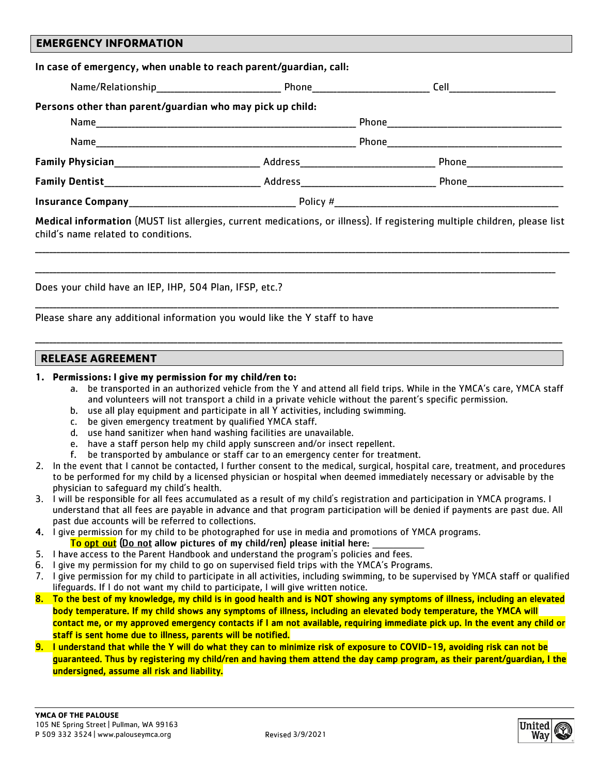### **EMERGENCY INFORMATION**

| Persons other than parent/guardian who may pick up child: |  |
|-----------------------------------------------------------|--|
|                                                           |  |
|                                                           |  |
|                                                           |  |
|                                                           |  |
|                                                           |  |

\_\_\_\_\_\_\_\_\_\_\_\_\_\_\_\_\_\_\_\_\_\_\_\_\_\_\_\_\_\_\_\_\_\_\_\_\_\_\_\_\_\_\_\_\_\_\_\_\_\_\_\_\_\_\_\_\_\_\_\_\_\_\_\_\_\_\_\_\_\_\_\_\_\_\_\_\_\_\_\_\_\_\_\_\_\_\_\_\_\_\_\_\_\_\_\_\_\_\_\_\_\_\_\_\_\_\_\_\_\_\_\_\_\_\_\_\_\_\_\_\_\_\_\_\_\_\_\_\_\_\_\_\_\_\_\_\_\_\_\_\_\_\_\_\_\_\_\_\_\_

\_\_\_\_\_\_\_\_\_\_\_\_\_\_\_\_\_\_\_\_\_\_\_\_\_\_\_\_\_\_\_\_\_\_\_\_\_\_\_\_\_\_\_\_\_\_\_\_\_\_\_\_\_\_\_\_\_\_\_\_\_\_\_\_\_\_\_\_\_\_\_\_\_\_\_\_\_\_\_\_\_\_\_\_\_\_\_\_\_\_\_\_\_\_\_\_\_\_\_\_\_\_\_\_\_\_\_\_\_\_\_\_\_\_\_\_\_\_\_\_\_\_\_\_\_\_\_\_\_\_\_\_\_\_\_\_\_\_\_\_\_\_\_\_\_\_

\_\_\_\_\_\_\_\_\_\_\_\_\_\_\_\_\_\_\_\_\_\_\_\_\_\_\_\_\_\_\_\_\_\_\_\_\_\_\_\_\_\_\_\_\_\_\_\_\_\_\_\_\_\_\_\_\_\_\_\_\_\_\_\_\_\_\_\_\_\_\_\_\_\_\_\_\_\_\_\_\_\_\_\_\_\_\_\_\_\_\_\_\_\_\_\_\_\_\_\_\_\_\_\_\_\_\_\_\_\_\_\_\_\_\_\_\_\_\_\_\_\_\_\_\_\_\_\_\_\_\_\_\_\_\_\_\_\_\_\_\_\_\_\_\_\_\_

\_\_\_\_\_\_\_\_\_\_\_\_\_\_\_\_\_\_\_\_\_\_\_\_\_\_\_\_\_\_\_\_\_\_\_\_\_\_\_\_\_\_\_\_\_\_\_\_\_\_\_\_\_\_\_\_\_\_\_\_\_\_\_\_\_\_\_\_\_\_\_\_\_\_\_\_\_\_\_\_\_\_\_\_\_\_\_\_\_\_\_\_\_\_\_\_\_\_\_\_\_\_\_\_\_\_\_\_\_\_\_\_\_\_\_\_\_\_\_\_\_\_\_\_\_\_\_\_\_\_\_\_\_\_\_\_\_\_\_\_\_\_\_\_\_\_\_\_

child's name related to conditions.

Does your child have an IEP, IHP, 504 Plan, IFSP, etc.?

Please share any additional information you would like the Y staff to have

#### **RELEASE AGREEMENT**

#### 1. Permissions: I give my permission for my child/ren to:

- a. be transported in an authorized vehicle from the Y and attend all field trips. While in the YMCA's care, YMCA staff and volunteers will not transport a child in a private vehicle without the parent's specific permission.
- b. use all play equipment and participate in all Y activities, including swimming.
- c. be given emergency treatment by qualified YMCA staff.
- d. use hand sanitizer when hand washing facilities are unavailable.
- e. have a staff person help my child apply sunscreen and/or insect repellent.
- f. be transported by ambulance or staff car to an emergency center for treatment.
- 2. In the event that I cannot be contacted, I further consent to the medical, surgical, hospital care, treatment, and procedures to be performed for my child by a licensed physician or hospital when deemed immediately necessary or advisable by the physician to safequard my child's health.
- 3. I will be responsible for all fees accumulated as a result of my child's registration and participation in YMCA programs. I understand that all fees are payable in advance and that program participation will be denied if payments are past due. All past due accounts will be referred to collections.
- 4. I give permission for my child to be photographed for use in media and promotions of YMCA programs. <mark>To <u>opt out</u> (Do not</mark> allow pictures of my child/ren) please initial here:
- 
- 5. I have access to the Parent Handbook and understand the program's policies and fees. 6. I give my permission for my child to go on supervised field trips with the YMCA's Programs.
- 
- 7. I give permission for my child to participate in all activities, including swimming, to be supervised by YMCA staff or qualified lifequards. If I do not want my child to participate, I will give written notice.
- 8. To the best of my knowledge, my child is in good health and is NOT showing any symptoms of illness, including an elevated body temperature. If my child shows any symptoms of illness, including an elevated body temperature, the YMCA will contact me, or my approved emergency contacts if I am not available, requiring immediate pick up. In the event any child or staff is sent home due to illness, parents will be notified.
- 9. I understand that while the Y will do what they can to minimize risk of exposure to COVID-19, avoiding risk can not be guaranteed. Thus by registering my child/ren and having them attend the day camp program, as their parent/guardian, I the undersigned, assume all risk and liability.